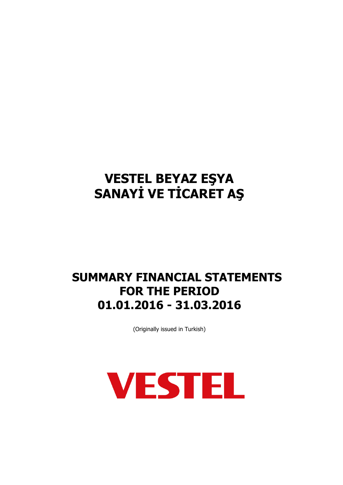## **SUMMARY FINANCIAL STATEMENTS FOR THE PERIOD 01.01.2016 - 31.03.2016**

(Originally issued in Turkish)

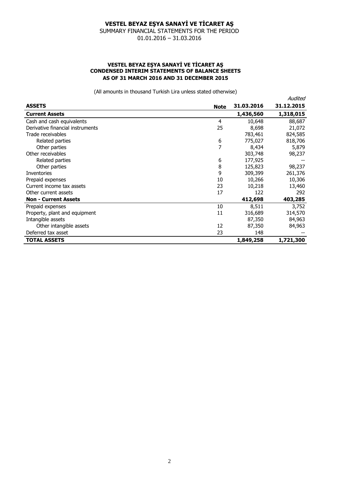SUMMARY FINANCIAL STATEMENTS FOR THE PERIOD 01.01.2016 – 31.03.2016

#### **VESTEL BEYAZ EŞYA SANAYİ VE TİCARET AŞ CONDENSED INTERIM STATEMENTS OF BALANCE SHEETS AS OF 31 MARCH 2016 AND 31 DECEMBER 2015**

(All amounts in thousand Turkish Lira unless stated otherwise)

|                                  |             |            | Audited    |
|----------------------------------|-------------|------------|------------|
| <b>ASSETS</b>                    | <b>Note</b> | 31.03.2016 | 31.12.2015 |
| <b>Current Assets</b>            |             | 1,436,560  | 1,318,015  |
| Cash and cash equivalents        | 4           | 10,648     | 88,687     |
| Derivative financial instruments | 25          | 8,698      | 21,072     |
| Trade receivables                |             | 783,461    | 824,585    |
| Related parties                  | 6           | 775,027    | 818,706    |
| Other parties                    | 7           | 8,434      | 5,879      |
| Other receivables                |             | 303,748    | 98,237     |
| Related parties                  | 6           | 177,925    |            |
| Other parties                    | 8           | 125,823    | 98,237     |
| <b>Inventories</b>               | 9           | 309,399    | 261,376    |
| Prepaid expenses                 | 10          | 10,266     | 10,306     |
| Current income tax assets        | 23          | 10,218     | 13,460     |
| Other current assets             | 17          | 122        | 292        |
| <b>Non - Current Assets</b>      |             | 412,698    | 403,285    |
| Prepaid expenses                 | 10          | 8,511      | 3,752      |
| Property, plant and equipment    | 11          | 316,689    | 314,570    |
| Intangible assets                |             | 87,350     | 84,963     |
| Other intangible assets          | 12          | 87,350     | 84,963     |
| Deferred tax asset               | 23          | 148        |            |
| <b>TOTAL ASSETS</b>              |             | 1,849,258  | 1,721,300  |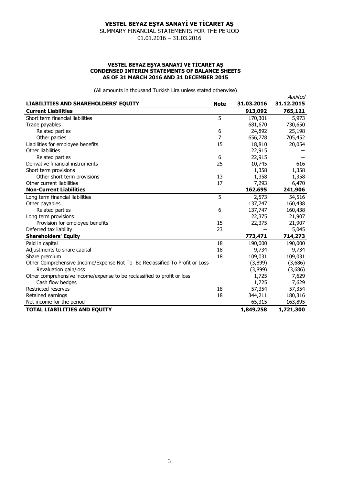SUMMARY FINANCIAL STATEMENTS FOR THE PERIOD 01.01.2016 – 31.03.2016

#### **VESTEL BEYAZ EŞYA SANAYİ VE TİCARET AŞ CONDENSED INTERIM STATEMENTS OF BALANCE SHEETS AS OF 31 MARCH 2016 AND 31 DECEMBER 2015**

(All amounts in thousand Turkish Lira unless stated otherwise)

Audited

| LIABILITIES AND SHAREHOLDERS' EQUITY                                        | <b>Note</b> | 31.03.2016 | 31.12.2015 |
|-----------------------------------------------------------------------------|-------------|------------|------------|
| <b>Current Liabilities</b>                                                  |             | 913,092    | 765,121    |
| Short term financial liabilities                                            | 5           | 170,301    | 5,973      |
| Trade payables                                                              |             | 681,670    | 730,650    |
| Related parties                                                             | 6           | 24,892     | 25,198     |
| Other parties                                                               | 7           | 656,778    | 705,452    |
| Liabilities for employee benefits                                           | 15          | 18,810     | 20,054     |
| Other liabilities                                                           |             | 22,915     |            |
| Related parties                                                             | 6           | 22,915     |            |
| Derivative financial instruments                                            | 25          | 10,745     | 616        |
| Short term provisions                                                       |             | 1,358      | 1,358      |
| Other short term provisions                                                 | 13          | 1,358      | 1,358      |
| Other current liabilities                                                   | 17          | 7,293      | 6,470      |
| <b>Non-Current Liabilities</b>                                              |             | 162,695    | 241,906    |
| Long term financial liabilities                                             | 5           | 2,573      | 54,516     |
| Other payables                                                              |             | 137,747    | 160,438    |
| Related parties                                                             | 6           | 137,747    | 160,438    |
| Long term provisions                                                        |             | 22,375     | 21,907     |
| Provision for employee benefits                                             | 15          | 22,375     | 21,907     |
| Deferred tax liability                                                      | 23          |            | 5,045      |
| <b>Shareholders' Equity</b>                                                 |             | 773,471    | 714,273    |
| Paid in capital                                                             | 18          | 190,000    | 190,000    |
| Adjustments to share capital                                                | 18          | 9,734      | 9,734      |
| Share premium                                                               | 18          | 109,031    | 109,031    |
| Other Comprehensive Income/Expense Not To Be Reclassified To Profit or Loss |             | (3,899)    | (3,686)    |
| Revaluation gain/loss                                                       |             | (3,899)    | (3,686)    |
| Other comprehensive income/expense to be reclassified to profit or loss     |             | 1,725      | 7,629      |
| Cash flow hedges                                                            |             | 1,725      | 7,629      |
| Restricted reserves                                                         | 18          | 57,354     | 57,354     |
| Retained earnings                                                           | 18          | 344,211    | 180,316    |
| Net income for the period                                                   |             | 65,315     | 163,895    |
| TOTAL LIABILITIES AND EQUITY                                                |             | 1,849,258  | 1,721,300  |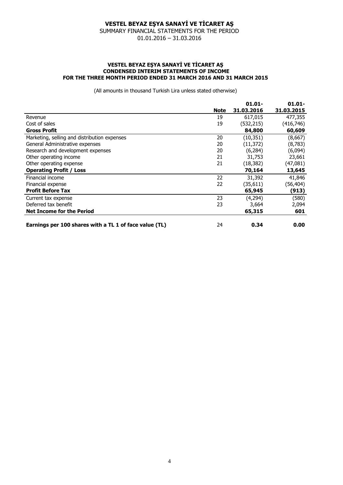SUMMARY FINANCIAL STATEMENTS FOR THE PERIOD 01.01.2016 – 31.03.2016

#### **VESTEL BEYAZ EŞYA SANAYİ VE TİCARET AŞ CONDENSED INTERIM STATEMENTS OF INCOME FOR THE THREE MONTH PERIOD ENDED 31 MARCH 2016 AND 31 MARCH 2015**

(All amounts in thousand Turkish Lira unless stated otherwise)

|                                                        |             | $01.01 -$  | $01.01 -$  |
|--------------------------------------------------------|-------------|------------|------------|
|                                                        | <b>Note</b> | 31.03.2016 | 31.03.2015 |
| Revenue                                                | 19          | 617,015    | 477,355    |
| Cost of sales                                          | 19          | (532, 215) | (416, 746) |
| <b>Gross Profit</b>                                    |             | 84,800     | 60,609     |
| Marketing, selling and distribution expenses           | 20          | (10, 351)  | (8,667)    |
| General Administrative expenses                        | 20          | (11, 372)  | (8, 783)   |
| Research and development expenses                      | 20          | (6, 284)   | (6,094)    |
| Other operating income                                 | 21          | 31,753     | 23,661     |
| Other operating expense                                | 21          | (18, 382)  | (47,081)   |
| <b>Operating Profit / Loss</b>                         |             | 70,164     | 13,645     |
| Financial income                                       | 22          | 31,392     | 41,846     |
| Financial expense                                      | 22          | (35, 611)  | (56, 404)  |
| <b>Profit Before Tax</b>                               |             | 65,945     | (913)      |
| Current tax expense                                    | 23          | (4,294)    | (580)      |
| Deferred tax benefit                                   | 23          | 3,664      | 2,094      |
| <b>Net Income for the Period</b>                       |             | 65,315     | 601        |
| Earnings per 100 shares with a TL 1 of face value (TL) | 24          | 0.34       | 0.00       |